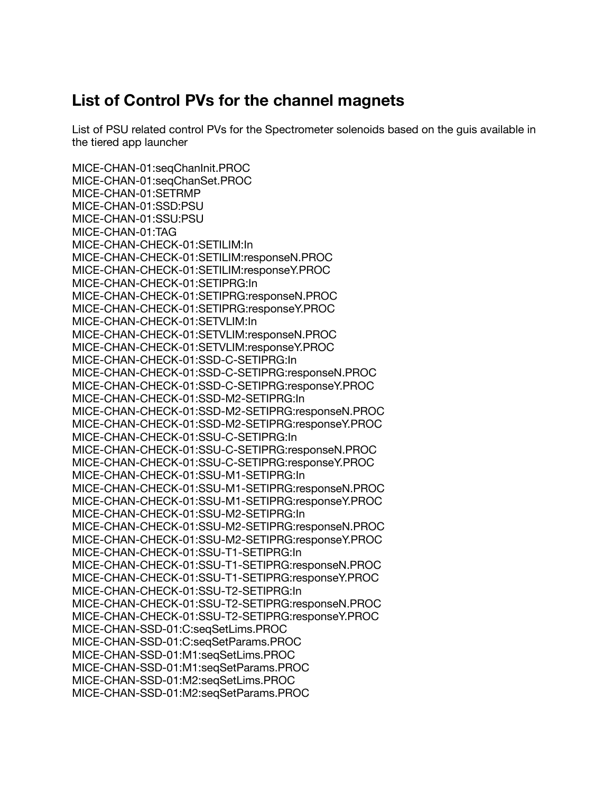## **List of Control PVs for the channel magnets**

List of PSU related control PVs for the Spectrometer solenoids based on the guis available in the tiered app launcher

MICE-CHAN-01:seqChanInit.PROC MICE-CHAN-01:seqChanSet.PROC MICE-CHAN-01:SETRMP MICE-CHAN-01:SSD:PSU MICE-CHAN-01:SSU:PSU MICE-CHAN-01:TAG MICE-CHAN-CHECK-01:SETILIM:In MICE-CHAN-CHECK-01:SETILIM:responseN.PROC MICE-CHAN-CHECK-01:SETILIM:responseY.PROC MICE-CHAN-CHECK-01:SETIPRG:In MICE-CHAN-CHECK-01:SETIPRG:responseN.PROC MICE-CHAN-CHECK-01:SETIPRG:responseY.PROC MICE-CHAN-CHECK-01:SETVLIM:In MICE-CHAN-CHECK-01:SETVLIM:responseN.PROC MICE-CHAN-CHECK-01:SETVLIM:responseY.PROC MICE-CHAN-CHECK-01:SSD-C-SETIPRG:In MICE-CHAN-CHECK-01:SSD-C-SETIPRG:responseN.PROC MICE-CHAN-CHECK-01:SSD-C-SETIPRG:responseY.PROC MICE-CHAN-CHECK-01:SSD-M2-SETIPRG:In MICE-CHAN-CHECK-01:SSD-M2-SETIPRG:responseN.PROC MICE-CHAN-CHECK-01:SSD-M2-SETIPRG:responseY.PROC MICE-CHAN-CHECK-01:SSU-C-SETIPRG:In MICE-CHAN-CHECK-01:SSU-C-SETIPRG:responseN.PROC MICE-CHAN-CHECK-01:SSU-C-SETIPRG:responseY.PROC MICE-CHAN-CHECK-01:SSU-M1-SETIPRG:In MICE-CHAN-CHECK-01:SSU-M1-SETIPRG:responseN.PROC MICE-CHAN-CHECK-01:SSU-M1-SETIPRG:responseY.PROC MICE-CHAN-CHECK-01:SSU-M2-SETIPRG:In MICE-CHAN-CHECK-01:SSU-M2-SETIPRG:responseN.PROC MICE-CHAN-CHECK-01:SSU-M2-SETIPRG:responseY.PROC MICE-CHAN-CHECK-01:SSU-T1-SETIPRG:In MICE-CHAN-CHECK-01:SSU-T1-SETIPRG:responseN.PROC MICE-CHAN-CHECK-01:SSU-T1-SETIPRG:responseY.PROC MICE-CHAN-CHECK-01:SSU-T2-SETIPRG:In MICE-CHAN-CHECK-01:SSU-T2-SETIPRG:responseN.PROC MICE-CHAN-CHECK-01:SSU-T2-SETIPRG:responseY.PROC MICE-CHAN-SSD-01:C:seqSetLims.PROC MICE-CHAN-SSD-01:C:seqSetParams.PROC MICE-CHAN-SSD-01:M1:seqSetLims.PROC MICE-CHAN-SSD-01:M1:seqSetParams.PROC MICE-CHAN-SSD-01:M2:seqSetLims.PROC MICE-CHAN-SSD-01:M2:seqSetParams.PROC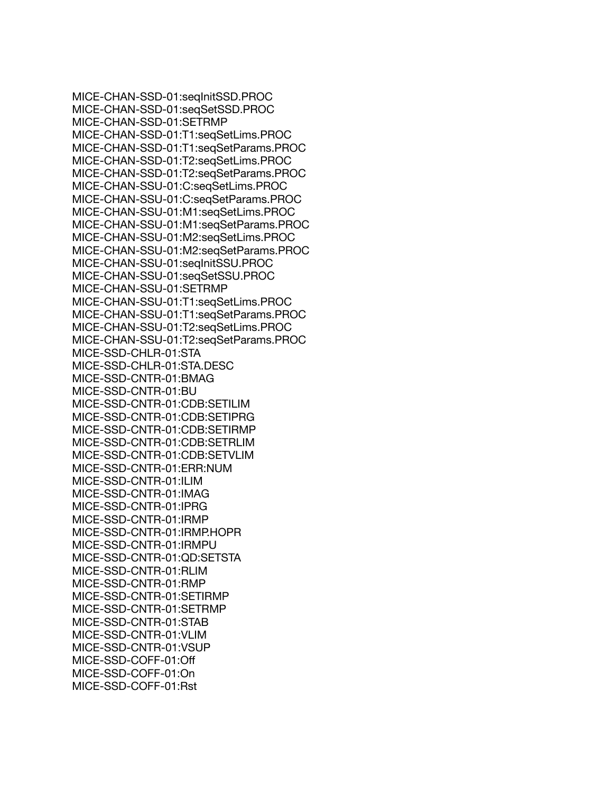MICE-CHAN-SSD-01:seqInitSSD.PROC MICE-CHAN-SSD-01:seqSetSSD.PROC MICE-CHAN-SSD-01:SETRMP MICE-CHAN-SSD-01:T1:seqSetLims.PROC MICE-CHAN-SSD-01:T1:seqSetParams.PROC MICE-CHAN-SSD-01:T2:seqSetLims.PROC MICE-CHAN-SSD-01:T2:seqSetParams.PROC MICE-CHAN-SSU-01:C:seqSetLims.PROC MICE-CHAN-SSU-01:C:seqSetParams.PROC MICE-CHAN-SSU-01:M1:seqSetLims.PROC MICE-CHAN-SSU-01:M1:seqSetParams.PROC MICE-CHAN-SSU-01:M2:seqSetLims.PROC MICE-CHAN-SSU-01:M2:seqSetParams.PROC MICE-CHAN-SSU-01:seqInitSSU.PROC MICE-CHAN-SSU-01:seqSetSSU.PROC MICE-CHAN-SSU-01:SETRMP MICE-CHAN-SSU-01:T1:seqSetLims.PROC MICE-CHAN-SSU-01:T1:seqSetParams.PROC MICE-CHAN-SSU-01:T2:seqSetLims.PROC MICE-CHAN-SSU-01:T2:seqSetParams.PROC MICE-SSD-CHLR-01:STA MICE-SSD-CHLR-01:STA.DESC MICE-SSD-CNTR-01:BMAG MICE-SSD-CNTR-01:BU MICE-SSD-CNTR-01:CDB:SETILIM MICE-SSD-CNTR-01:CDB:SETIPRG MICE-SSD-CNTR-01:CDB:SETIRMP MICE-SSD-CNTR-01:CDB:SETRLIM MICE-SSD-CNTR-01:CDB:SETVLIM MICE-SSD-CNTR-01:ERR:NUM MICE-SSD-CNTR-01:ILIM MICE-SSD-CNTR-01:IMAG MICE-SSD-CNTR-01:IPRG MICE-SSD-CNTR-01:IRMP MICE-SSD-CNTR-01:IRMP.HOPR MICE-SSD-CNTR-01:IRMPU MICE-SSD-CNTR-01:QD:SETSTA MICE-SSD-CNTR-01:RLIM MICE-SSD-CNTR-01:RMP MICE-SSD-CNTR-01:SETIRMP MICE-SSD-CNTR-01:SETRMP MICE-SSD-CNTR-01:STAB MICE-SSD-CNTR-01:VLIM MICE-SSD-CNTR-01:VSUP MICE-SSD-COFF-01:Off MICE-SSD-COFF-01:On MICE-SSD-COFF-01:Rst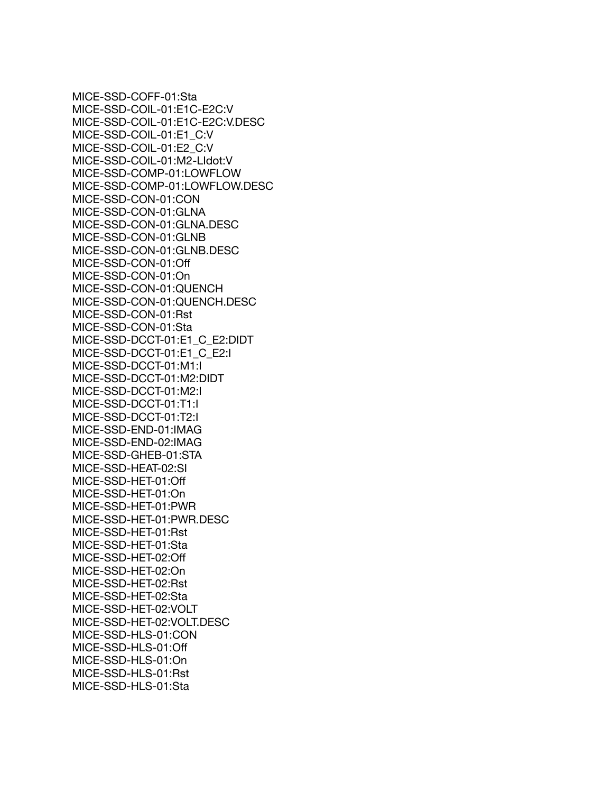MICE-SSD-COFF-01:Sta MICE-SSD-COIL-01:E1C-E2C:V MICE-SSD-COIL-01:E1C-E2C:V.DESC MICE-SSD-COIL-01:E1\_C:V MICE-SSD-COIL-01:E2\_C:V MICE-SSD-COIL-01:M2-LIdot:V MICE-SSD-COMP-01:LOWFLOW MICE-SSD-COMP-01:LOWFLOW.DESC MICE-SSD-CON-01:CON MICE-SSD-CON-01:GLNA MICE-SSD-CON-01:GLNA.DESC MICE-SSD-CON-01:GLNB MICE-SSD-CON-01:GLNB.DESC MICE-SSD-CON-01:Off MICE-SSD-CON-01:On MICE-SSD-CON-01:QUENCH MICE-SSD-CON-01:QUENCH.DESC MICE-SSD-CON-01:Rst MICE-SSD-CON-01:Sta MICE-SSD-DCCT-01:E1\_C\_E2:DIDT MICE-SSD-DCCT-01:E1\_C\_E2:I MICE-SSD-DCCT-01:M1:I MICE-SSD-DCCT-01:M2:DIDT MICE-SSD-DCCT-01:M2:I MICE-SSD-DCCT-01:T1:I MICE-SSD-DCCT-01:T2:I MICE-SSD-END-01:IMAG MICE-SSD-END-02:IMAG MICE-SSD-GHEB-01:STA MICE-SSD-HEAT-02:SI MICE-SSD-HET-01:Off MICE-SSD-HET-01:On MICE-SSD-HET-01:PWR MICE-SSD-HET-01:PWR.DESC MICE-SSD-HET-01:Rst MICE-SSD-HET-01:Sta MICE-SSD-HET-02:Off MICE-SSD-HET-02:On MICE-SSD-HET-02:Rst MICE-SSD-HET-02:Sta MICE-SSD-HET-02:VOLT MICE-SSD-HET-02:VOLT.DESC MICE-SSD-HLS-01:CON MICE-SSD-HLS-01:Off MICE-SSD-HLS-01:On MICE-SSD-HLS-01:Rst MICE-SSD-HLS-01:Sta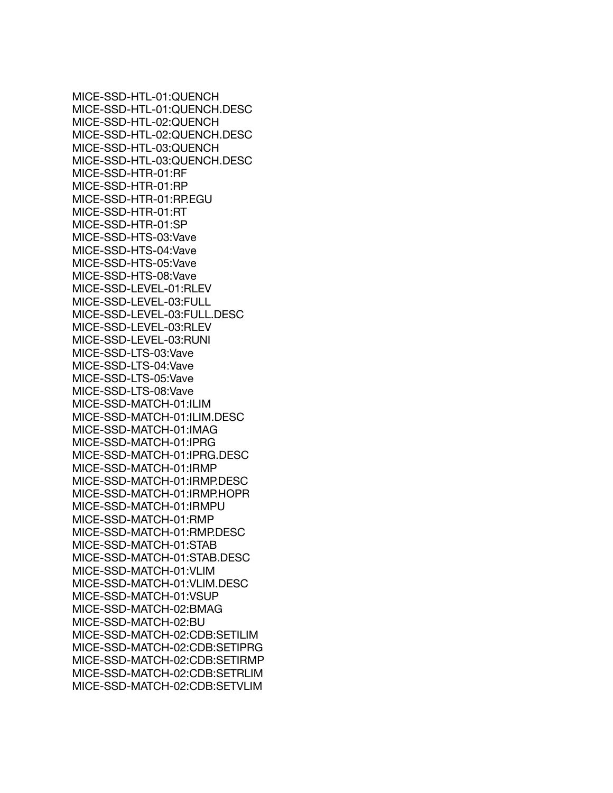MICE-SSD-HTL-01:QUENCH MICE-SSD-HTL-01:QUENCH.DESC MICE-SSD-HTL-02:QUENCH MICE-SSD-HTL-02:QUENCH.DESC MICE-SSD-HTL-03:QUENCH MICE-SSD-HTL-03:QUENCH.DESC MICE-SSD-HTR-01:RF MICE-SSD-HTR-01:RP MICE-SSD-HTR-01:RP.EGU MICE-SSD-HTR-01:RT MICE-SSD-HTR-01:SP MICE-SSD-HTS-03:Vave MICE-SSD-HTS-04:Vave MICE-SSD-HTS-05:Vave MICE-SSD-HTS-08:Vave MICE-SSD-LEVEL-01:RLEV MICE-SSD-LEVEL-03:FULL MICE-SSD-LEVEL-03:FULL.DESC MICE-SSD-LEVEL-03:RLEV MICE-SSD-LEVEL-03:RUNI MICE-SSD-LTS-03:Vave MICE-SSD-LTS-04:Vave MICE-SSD-LTS-05:Vave MICE-SSD-LTS-08:Vave MICE-SSD-MATCH-01:ILIM MICE-SSD-MATCH-01:ILIM.DESC MICE-SSD-MATCH-01:IMAG MICE-SSD-MATCH-01:IPRG MICE-SSD-MATCH-01:IPRG.DESC MICE-SSD-MATCH-01:IRMP MICE-SSD-MATCH-01:IRMP.DESC MICE-SSD-MATCH-01:IRMP.HOPR MICE-SSD-MATCH-01:IRMPU MICE-SSD-MATCH-01:RMP MICE-SSD-MATCH-01:RMP.DESC MICE-SSD-MATCH-01:STAB MICE-SSD-MATCH-01:STAB.DESC MICE-SSD-MATCH-01:VLIM MICE-SSD-MATCH-01:VLIM.DESC MICE-SSD-MATCH-01:VSUP MICE-SSD-MATCH-02:BMAG MICE-SSD-MATCH-02:BU MICE-SSD-MATCH-02:CDB:SETILIM MICE-SSD-MATCH-02:CDB:SETIPRG MICE-SSD-MATCH-02:CDB:SETIRMP MICE-SSD-MATCH-02:CDB:SETRLIM MICE-SSD-MATCH-02:CDB:SETVLIM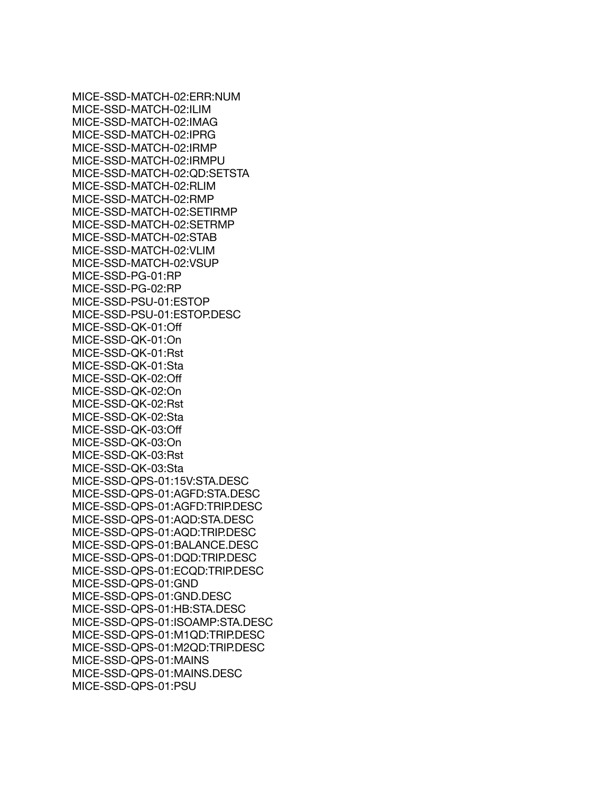MICE-SSD-MATCH-02:ERR:NUM MICE-SSD-MATCH-02:ILIM MICE-SSD-MATCH-02:IMAG MICE-SSD-MATCH-02:IPRG MICE-SSD-MATCH-02:IRMP MICE-SSD-MATCH-02:IRMPU MICE-SSD-MATCH-02:QD:SETSTA MICE-SSD-MATCH-02:RLIM MICE-SSD-MATCH-02:RMP MICE-SSD-MATCH-02:SETIRMP MICE-SSD-MATCH-02:SETRMP MICE-SSD-MATCH-02:STAB MICE-SSD-MATCH-02:VLIM MICE-SSD-MATCH-02:VSUP MICE-SSD-PG-01:RP MICE-SSD-PG-02:RP MICE-SSD-PSU-01:ESTOP MICE-SSD-PSU-01:ESTOP.DESC MICE-SSD-QK-01:Off MICE-SSD-QK-01:On MICE-SSD-QK-01:Rst MICE-SSD-QK-01:Sta MICE-SSD-QK-02:Off MICE-SSD-QK-02:On MICE-SSD-QK-02:Rst MICE-SSD-QK-02:Sta MICE-SSD-QK-03:Off MICE-SSD-QK-03:On MICE-SSD-QK-03:Rst MICE-SSD-QK-03:Sta MICE-SSD-QPS-01:15V:STA.DESC MICE-SSD-QPS-01:AGFD:STA.DESC MICE-SSD-QPS-01:AGFD:TRIP.DESC MICE-SSD-QPS-01:AQD:STA.DESC MICE-SSD-QPS-01:AQD:TRIP.DESC MICE-SSD-QPS-01:BALANCE.DESC MICE-SSD-QPS-01:DQD:TRIP.DESC MICE-SSD-QPS-01:ECQD:TRIP.DESC MICE-SSD-QPS-01:GND MICE-SSD-QPS-01:GND.DESC MICE-SSD-QPS-01:HB:STA.DESC MICE-SSD-QPS-01:ISOAMP:STA.DESC MICE-SSD-QPS-01:M1QD:TRIP.DESC MICE-SSD-QPS-01:M2QD:TRIP.DESC MICE-SSD-QPS-01:MAINS MICE-SSD-QPS-01:MAINS.DESC MICE-SSD-QPS-01:PSU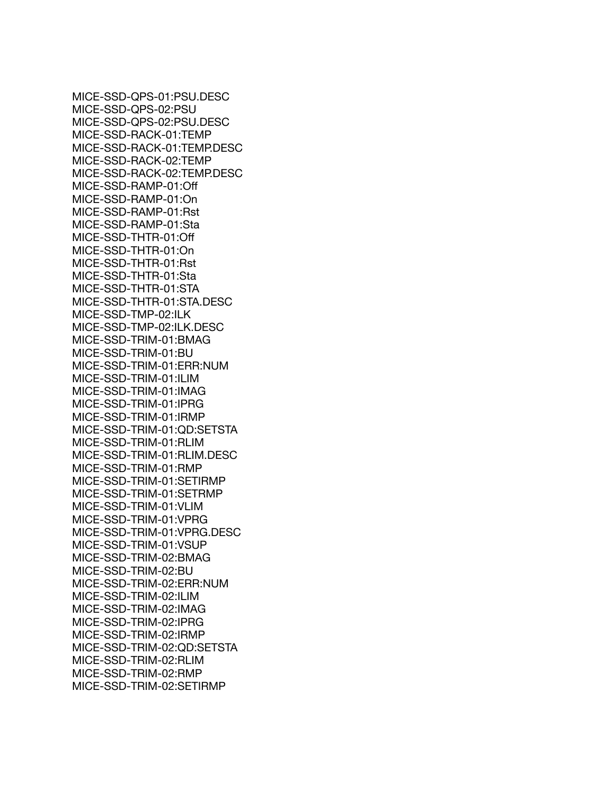MICE-SSD-QPS-01:PSU.DESC MICE-SSD-QPS-02:PSU MICE-SSD-QPS-02:PSU.DESC MICE-SSD-RACK-01:TEMP MICE-SSD-RACK-01:TEMP.DESC MICE-SSD-RACK-02:TEMP MICE-SSD-RACK-02:TEMP.DESC MICE-SSD-RAMP-01:Off MICE-SSD-RAMP-01:On MICE-SSD-RAMP-01:Rst MICE-SSD-RAMP-01:Sta MICE-SSD-THTR-01:Off MICE-SSD-THTR-01:On MICE-SSD-THTR-01:Rst MICE-SSD-THTR-01:Sta MICE-SSD-THTR-01:STA MICE-SSD-THTR-01:STA.DESC MICE-SSD-TMP-02:ILK MICE-SSD-TMP-02:ILK.DESC MICE-SSD-TRIM-01:BMAG MICE-SSD-TRIM-01:BU MICE-SSD-TRIM-01:ERR:NUM MICE-SSD-TRIM-01:ILIM MICE-SSD-TRIM-01:IMAG MICE-SSD-TRIM-01:IPRG MICE-SSD-TRIM-01:IRMP MICE-SSD-TRIM-01:QD:SETSTA MICE-SSD-TRIM-01:RLIM MICE-SSD-TRIM-01:RLIM.DESC MICE-SSD-TRIM-01:RMP MICE-SSD-TRIM-01:SETIRMP MICE-SSD-TRIM-01:SETRMP MICE-SSD-TRIM-01:VLIM MICE-SSD-TRIM-01:VPRG MICE-SSD-TRIM-01:VPRG.DESC MICE-SSD-TRIM-01:VSUP MICE-SSD-TRIM-02:BMAG MICE-SSD-TRIM-02:BU MICE-SSD-TRIM-02:ERR:NUM MICE-SSD-TRIM-02:ILIM MICE-SSD-TRIM-02:IMAG MICE-SSD-TRIM-02:IPRG MICE-SSD-TRIM-02:IRMP MICE-SSD-TRIM-02:QD:SETSTA MICE-SSD-TRIM-02:RLIM MICE-SSD-TRIM-02:RMP MICE-SSD-TRIM-02:SETIRMP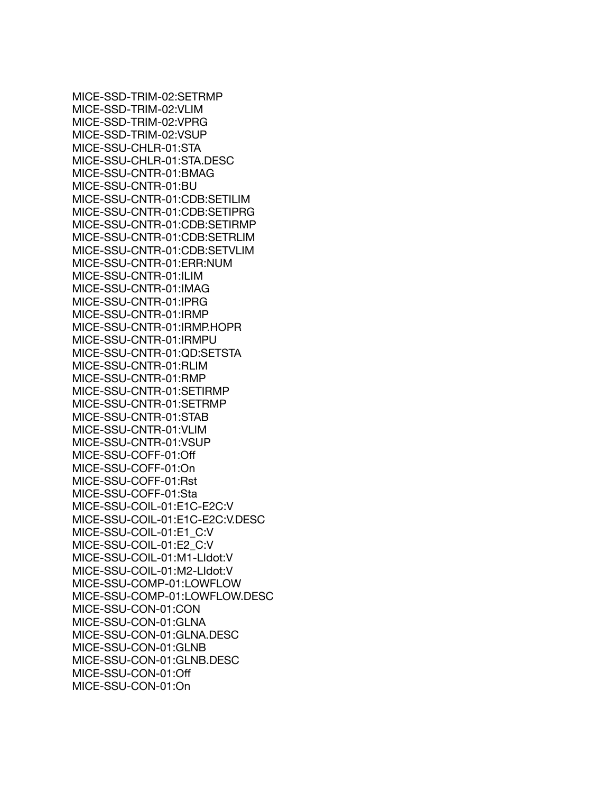MICE-SSD-TRIM-02:SETRMP MICE-SSD-TRIM-02:VLIM MICE-SSD-TRIM-02:VPRG MICE-SSD-TRIM-02:VSUP MICE-SSU-CHLR-01:STA MICE-SSU-CHLR-01:STA.DESC MICE-SSU-CNTR-01:BMAG MICE-SSU-CNTR-01:BU MICE-SSU-CNTR-01:CDB:SETILIM MICE-SSU-CNTR-01:CDB:SETIPRG MICE-SSU-CNTR-01:CDB:SETIRMP MICE-SSU-CNTR-01:CDB:SETRLIM MICE-SSU-CNTR-01:CDB:SETVLIM MICE-SSU-CNTR-01:ERR:NUM MICE-SSU-CNTR-01:ILIM MICE-SSU-CNTR-01:IMAG MICE-SSU-CNTR-01:IPRG MICE-SSU-CNTR-01:IRMP MICE-SSU-CNTR-01:IRMP.HOPR MICE-SSU-CNTR-01:IRMPU MICE-SSU-CNTR-01:QD:SETSTA MICE-SSU-CNTR-01:RLIM MICE-SSU-CNTR-01:RMP MICE-SSU-CNTR-01:SETIRMP MICE-SSU-CNTR-01:SETRMP MICE-SSU-CNTR-01:STAB MICE-SSU-CNTR-01:VLIM MICE-SSU-CNTR-01:VSUP MICE-SSU-COFF-01:Off MICE-SSU-COFF-01:On MICE-SSU-COFF-01:Rst MICE-SSU-COFF-01:Sta MICE-SSU-COIL-01:E1C-E2C:V MICE-SSU-COIL-01:E1C-E2C:V.DESC MICE-SSU-COIL-01:E1\_C:V MICE-SSU-COIL-01:E2\_C:V MICE-SSU-COIL-01:M1-LIdot:V MICE-SSU-COIL-01:M2-LIdot:V MICE-SSU-COMP-01:LOWFLOW MICE-SSU-COMP-01:LOWFLOW.DESC MICE-SSU-CON-01:CON MICE-SSU-CON-01:GLNA MICE-SSU-CON-01:GLNA.DESC MICE-SSU-CON-01:GLNB MICE-SSU-CON-01:GLNB.DESC MICE-SSU-CON-01:Off MICE-SSU-CON-01:On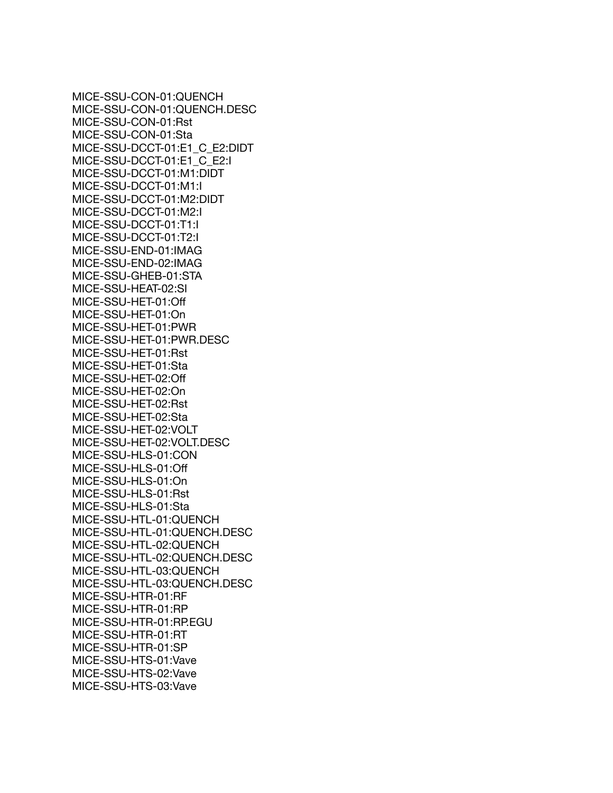MICE-SSU-CON-01:QUENCH MICE-SSU-CON-01:QUENCH.DESC MICE-SSU-CON-01:Rst MICE-SSU-CON-01:Sta MICE-SSU-DCCT-01:E1\_C\_E2:DIDT MICE-SSU-DCCT-01:E1\_C\_E2:I MICE-SSU-DCCT-01:M1:DIDT MICE-SSU-DCCT-01:M1:I MICE-SSU-DCCT-01:M2:DIDT MICE-SSU-DCCT-01:M2:I MICE-SSU-DCCT-01:T1:I MICE-SSU-DCCT-01:T2:I MICE-SSU-END-01:IMAG MICE-SSU-END-02:IMAG MICE-SSU-GHEB-01:STA MICE-SSU-HEAT-02:SI MICE-SSU-HET-01:Off MICE-SSU-HET-01:On MICE-SSU-HET-01:PWR MICE-SSU-HET-01:PWR.DESC MICE-SSU-HET-01:Rst MICE-SSU-HET-01:Sta MICE-SSU-HET-02:Off MICE-SSU-HET-02:On MICE-SSU-HET-02:Rst MICE-SSU-HET-02:Sta MICE-SSU-HET-02:VOLT MICE-SSU-HET-02:VOLT.DESC MICE-SSU-HLS-01:CON MICE-SSU-HLS-01:Off MICE-SSU-HLS-01:On MICE-SSU-HLS-01:Rst MICE-SSU-HLS-01:Sta MICE-SSU-HTL-01:QUENCH MICE-SSU-HTL-01:QUENCH.DESC MICE-SSU-HTL-02:QUENCH MICE-SSU-HTL-02:QUENCH.DESC MICE-SSU-HTL-03:QUENCH MICE-SSU-HTL-03:QUENCH.DESC MICE-SSU-HTR-01:RF MICE-SSU-HTR-01:RP MICE-SSU-HTR-01:RP.EGU MICE-SSU-HTR-01:RT MICE-SSU-HTR-01:SP MICE-SSU-HTS-01:Vave MICE-SSU-HTS-02:Vave MICE-SSU-HTS-03:Vave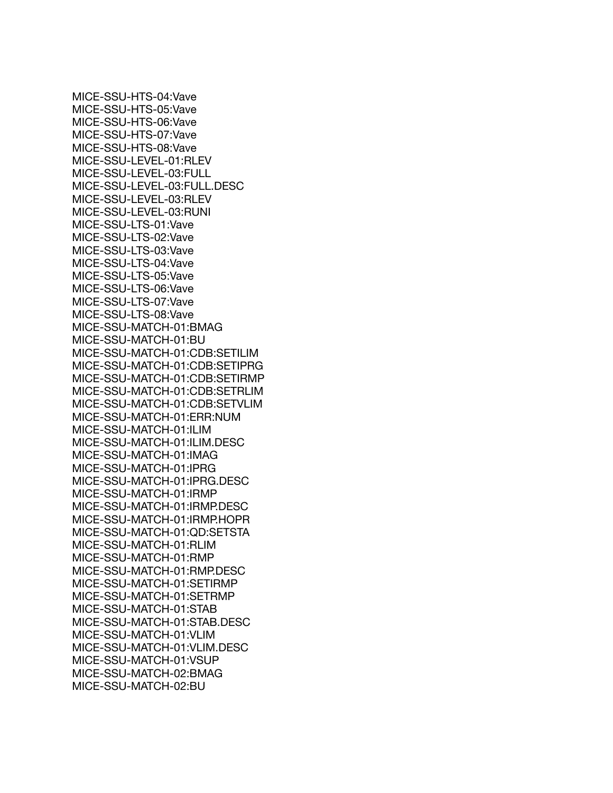MICE-SSU-HTS-04:Vave MICE-SSU-HTS-05:Vave MICE-SSU-HTS-06:Vave MICE-SSU-HTS-07:Vave MICE-SSU-HTS-08:Vave MICE-SSU-LEVEL-01:RLEV MICE-SSU-LEVEL-03:FULL MICE-SSU-LEVEL-03:FULL.DESC MICE-SSU-LEVEL-03:RLEV MICE-SSU-LEVEL-03:RUNI MICE-SSU-LTS-01:Vave MICE-SSU-LTS-02:Vave MICE-SSU-LTS-03:Vave MICE-SSU-LTS-04:Vave MICE-SSU-LTS-05:Vave MICE-SSU-LTS-06:Vave MICE-SSU-LTS-07:Vave MICE-SSU-LTS-08:Vave MICE-SSU-MATCH-01:BMAG MICE-SSU-MATCH-01:BU MICE-SSU-MATCH-01:CDB:SETILIM MICE-SSU-MATCH-01:CDB:SETIPRG MICE-SSU-MATCH-01:CDB:SETIRMP MICE-SSU-MATCH-01:CDB:SETRLIM MICE-SSU-MATCH-01:CDB:SETVLIM MICE-SSU-MATCH-01:ERR:NUM MICE-SSU-MATCH-01:ILIM MICE-SSU-MATCH-01:ILIM.DESC MICE-SSU-MATCH-01:IMAG MICE-SSU-MATCH-01:IPRG MICE-SSU-MATCH-01:IPRG.DESC MICE-SSU-MATCH-01:IRMP MICE-SSU-MATCH-01:IRMP.DESC MICE-SSU-MATCH-01:IRMP.HOPR MICE-SSU-MATCH-01:QD:SETSTA MICE-SSU-MATCH-01:RLIM MICE-SSU-MATCH-01:RMP MICE-SSU-MATCH-01:RMP.DESC MICE-SSU-MATCH-01:SETIRMP MICE-SSU-MATCH-01:SETRMP MICE-SSU-MATCH-01:STAB MICE-SSU-MATCH-01:STAB.DESC MICE-SSU-MATCH-01:VLIM MICE-SSU-MATCH-01:VLIM.DESC MICE-SSU-MATCH-01:VSUP MICE-SSU-MATCH-02:BMAG MICE-SSU-MATCH-02:BU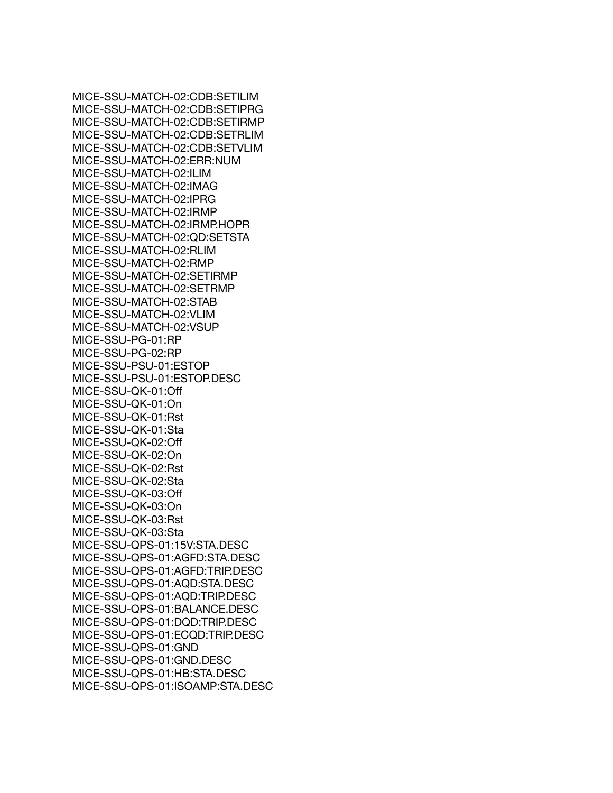MICE-SSU-MATCH-02:CDB:SETILIM MICE-SSU-MATCH-02:CDB:SETIPRG MICE-SSU-MATCH-02:CDB:SETIRMP MICE-SSU-MATCH-02:CDB:SETRLIM MICE-SSU-MATCH-02:CDB:SETVLIM MICE-SSU-MATCH-02:ERR:NUM MICE-SSU-MATCH-02:ILIM MICE-SSU-MATCH-02:IMAG MICE-SSU-MATCH-02:IPRG MICE-SSU-MATCH-02:IRMP MICE-SSU-MATCH-02:IRMP.HOPR MICE-SSU-MATCH-02:QD:SETSTA MICE-SSU-MATCH-02:RLIM MICE-SSU-MATCH-02:RMP MICE-SSU-MATCH-02:SETIRMP MICE-SSU-MATCH-02:SETRMP MICE-SSU-MATCH-02:STAB MICE-SSU-MATCH-02:VLIM MICE-SSU-MATCH-02:VSUP MICE-SSU-PG-01:RP MICE-SSU-PG-02:RP MICE-SSU-PSU-01:ESTOP MICE-SSU-PSU-01:ESTOP.DESC MICE-SSU-QK-01:Off MICE-SSU-QK-01:On MICE-SSU-QK-01:Rst MICE-SSU-QK-01:Sta MICE-SSU-QK-02:Off MICE-SSU-QK-02:On MICE-SSU-QK-02:Rst MICE-SSU-QK-02:Sta MICE-SSU-QK-03:Off MICE-SSU-QK-03:On MICE-SSU-QK-03:Rst MICE-SSU-QK-03:Sta MICE-SSU-QPS-01:15V:STA.DESC MICE-SSU-QPS-01:AGFD:STA.DESC MICE-SSU-QPS-01:AGFD:TRIP.DESC MICE-SSU-QPS-01:AQD:STA.DESC MICE-SSU-QPS-01:AQD:TRIP.DESC MICE-SSU-QPS-01:BALANCE.DESC MICE-SSU-QPS-01:DQD:TRIP.DESC MICE-SSU-QPS-01:ECQD:TRIP.DESC MICE-SSU-QPS-01:GND MICE-SSU-QPS-01:GND.DESC MICE-SSU-QPS-01:HB:STA.DESC MICE-SSU-QPS-01:ISOAMP:STA.DESC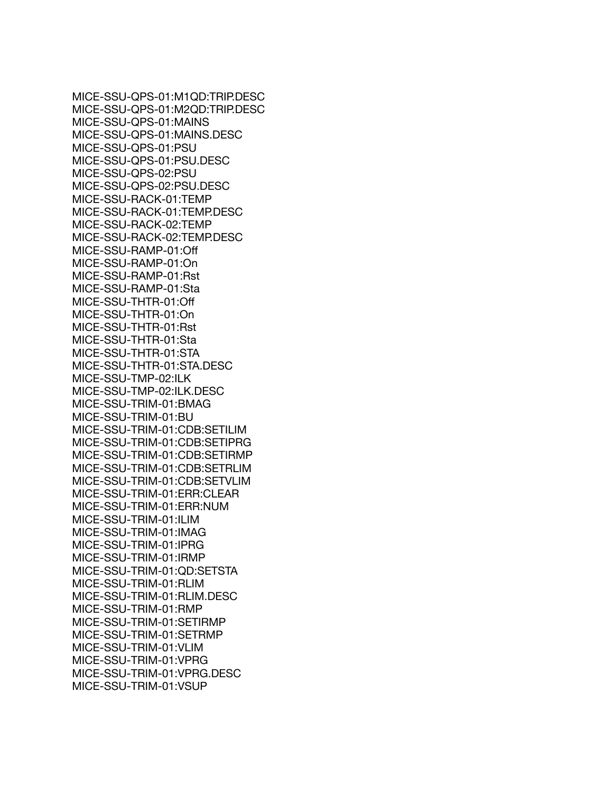MICE-SSU-QPS-01:M1QD:TRIP.DESC MICE-SSU-QPS-01:M2QD:TRIP.DESC MICE-SSU-QPS-01:MAINS MICE-SSU-QPS-01:MAINS.DESC MICE-SSU-QPS-01:PSU MICE-SSU-QPS-01:PSU.DESC MICE-SSU-QPS-02:PSU MICE-SSU-QPS-02:PSU.DESC MICE-SSU-RACK-01:TEMP MICE-SSU-RACK-01:TEMP.DESC MICE-SSU-RACK-02:TEMP MICE-SSU-RACK-02:TEMP.DESC MICE-SSU-RAMP-01:Off MICE-SSU-RAMP-01:On MICE-SSU-RAMP-01:Rst MICE-SSU-RAMP-01:Sta MICE-SSU-THTR-01:Off MICE-SSU-THTR-01:On MICE-SSU-THTR-01:Rst MICE-SSU-THTR-01:Sta MICE-SSU-THTR-01:STA MICE-SSU-THTR-01:STA.DESC MICE-SSU-TMP-02:ILK MICE-SSU-TMP-02:ILK.DESC MICE-SSU-TRIM-01:BMAG MICE-SSU-TRIM-01:BU MICE-SSU-TRIM-01:CDB:SETILIM MICE-SSU-TRIM-01:CDB:SETIPRG MICE-SSU-TRIM-01:CDB:SETIRMP MICE-SSU-TRIM-01:CDB:SETRLIM MICE-SSU-TRIM-01:CDB:SETVLIM MICE-SSU-TRIM-01:ERR:CLEAR MICE-SSU-TRIM-01:ERR:NUM MICE-SSU-TRIM-01:ILIM MICE-SSU-TRIM-01:IMAG MICE-SSU-TRIM-01:IPRG MICE-SSU-TRIM-01:IRMP MICE-SSU-TRIM-01:QD:SETSTA MICE-SSU-TRIM-01:RLIM MICE-SSU-TRIM-01:RLIM.DESC MICE-SSU-TRIM-01:RMP MICE-SSU-TRIM-01:SETIRMP MICE-SSU-TRIM-01:SETRMP MICE-SSU-TRIM-01:VLIM MICE-SSU-TRIM-01:VPRG MICE-SSU-TRIM-01:VPRG.DESC MICE-SSU-TRIM-01:VSUP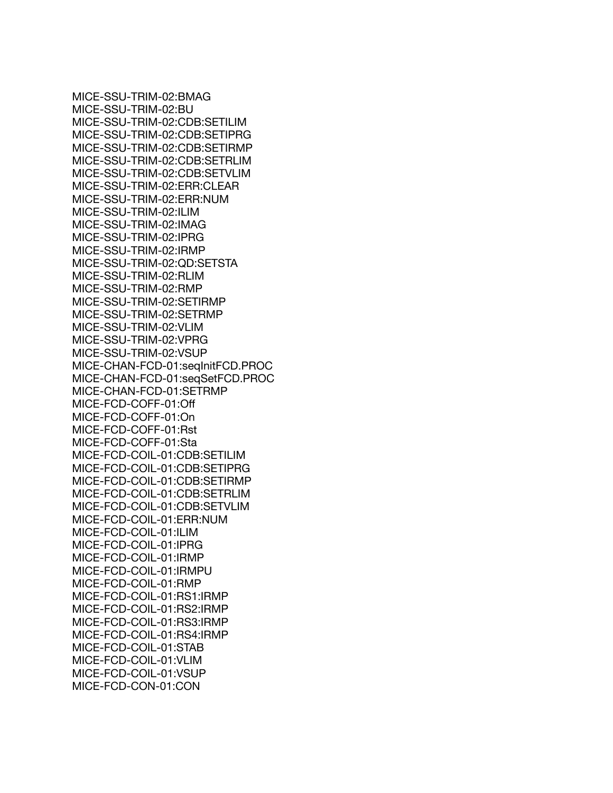MICE-SSU-TRIM-02:BMAG MICE-SSU-TRIM-02:BU MICE-SSU-TRIM-02:CDB:SETILIM MICE-SSU-TRIM-02:CDB:SETIPRG MICE-SSU-TRIM-02:CDB:SETIRMP MICE-SSU-TRIM-02:CDB:SETRLIM MICE-SSU-TRIM-02:CDB:SETVLIM MICE-SSU-TRIM-02:ERR:CLEAR MICE-SSU-TRIM-02:ERR:NUM MICE-SSU-TRIM-02:ILIM MICE-SSU-TRIM-02:IMAG MICE-SSU-TRIM-02:IPRG MICE-SSU-TRIM-02:IRMP MICE-SSU-TRIM-02:QD:SETSTA MICE-SSU-TRIM-02:RLIM MICE-SSU-TRIM-02:RMP MICE-SSU-TRIM-02:SETIRMP MICE-SSU-TRIM-02:SETRMP MICE-SSU-TRIM-02:VLIM MICE-SSU-TRIM-02:VPRG MICE-SSU-TRIM-02:VSUP MICE-CHAN-FCD-01:seqInitFCD.PROC MICE-CHAN-FCD-01:seqSetFCD.PROC MICE-CHAN-FCD-01:SETRMP MICE-FCD-COFF-01:Off MICE-FCD-COFF-01:On MICE-FCD-COFF-01:Rst MICE-FCD-COFF-01:Sta MICE-FCD-COIL-01:CDB:SETILIM MICE-FCD-COIL-01:CDB:SETIPRG MICE-FCD-COIL-01:CDB:SETIRMP MICE-FCD-COIL-01:CDB:SETRLIM MICE-FCD-COIL-01:CDB:SETVLIM MICE-FCD-COIL-01:ERR:NUM MICE-FCD-COIL-01:ILIM MICE-FCD-COIL-01:IPRG MICE-FCD-COIL-01:IRMP MICE-FCD-COIL-01:IRMPU MICE-FCD-COIL-01:RMP MICE-FCD-COIL-01:RS1:IRMP MICE-FCD-COIL-01:RS2:IRMP MICE-FCD-COIL-01:RS3:IRMP MICE-FCD-COIL-01:RS4:IRMP MICE-FCD-COIL-01:STAB MICE-FCD-COIL-01:VLIM MICE-FCD-COIL-01:VSUP MICE-FCD-CON-01:CON